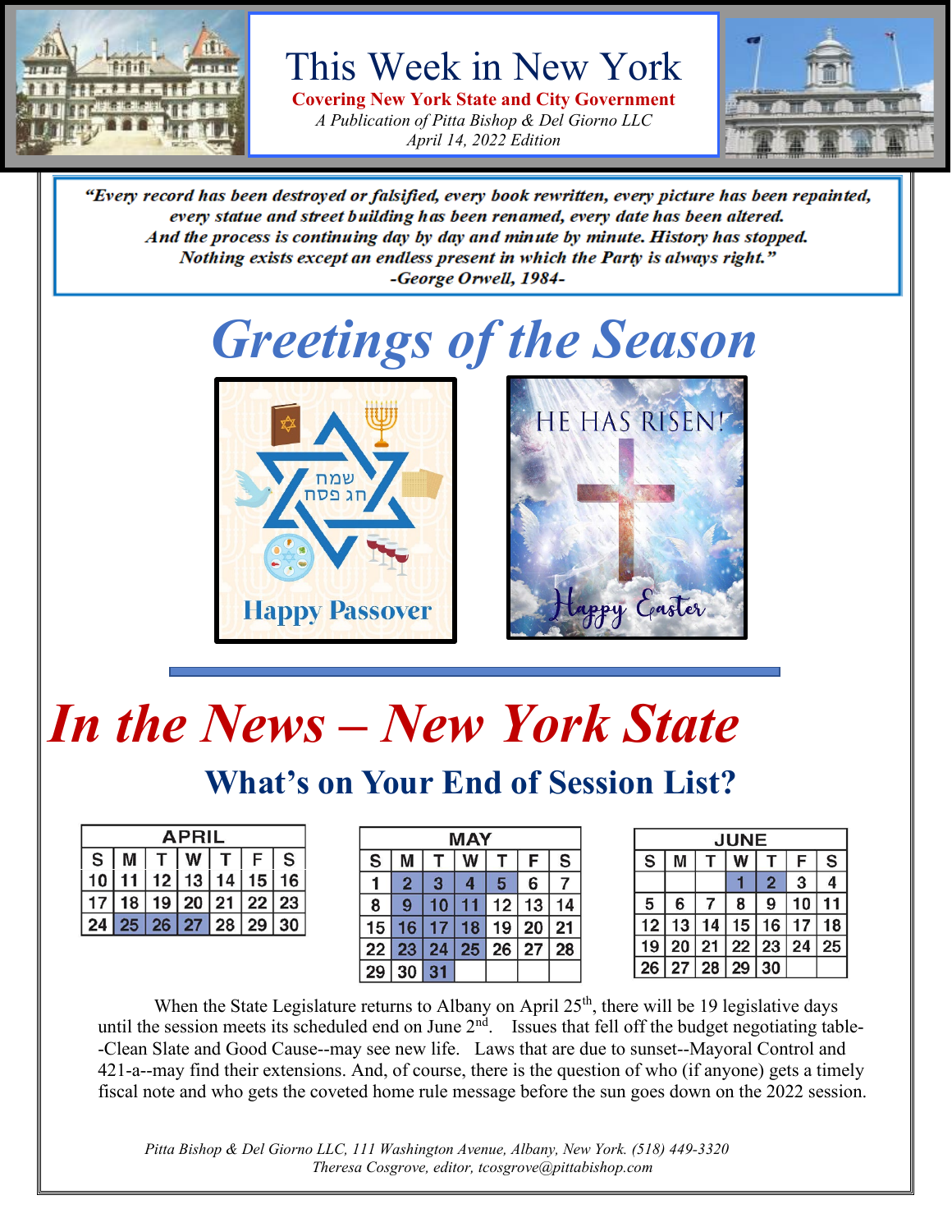

This Week in New York

**Covering New York State and City Government** *A Publication of Pitta Bishop & Del Giorno LLC April 14, 2022 Edition*



"Every record has been destroyed or falsified, every book rewritten, every picture has been repainted, every statue and street building has been renamed, every date has been altered. And the process is continuing day by day and minute by minute. History has stopped. Nothing exists except an endless present in which the Party is always right." -George Orwell, 1984-

## *Greetings of the Season*





# *In the News – New York State*

### **What's on Your End of Session List?**

| APRIL                                                                           |  |  |  |  |  |  |
|---------------------------------------------------------------------------------|--|--|--|--|--|--|
| $ \mathsf{S} \mathsf{M} \mathsf{T} \mathsf{W} \mathsf{T} \mathsf{F} \mathsf{S}$ |  |  |  |  |  |  |
| 10   11   12   13   14   15   16                                                |  |  |  |  |  |  |
| 17 18 19 20 21 22 23                                                            |  |  |  |  |  |  |
| 24 25 26 27 28 29 30                                                            |  |  |  |  |  |  |

| MAY |                |    |    |    |    |    |  |
|-----|----------------|----|----|----|----|----|--|
| S   | м              |    |    |    | F  | S  |  |
|     | $\overline{2}$ | 3  | 4  | 5  | 6  |    |  |
| 8   | 9              | 10 |    | 12 | 13 |    |  |
| 15  | 16             | 17 | 18 | 19 | 20 | 21 |  |
| 22  | 23             | 24 | 25 | 26 | 27 | 28 |  |
|     | 30             | 31 |    |    |    |    |  |

| <b>JUNE</b> |       |    |       |                |    |    |
|-------------|-------|----|-------|----------------|----|----|
| S           |       |    | w     |                | F  | S  |
|             |       |    |       | $\overline{2}$ | 3  | 4  |
| 5           | 6     |    | 8     | 9              | 10 |    |
| 12          | 13    | 14 | 15    | 16             | 17 | 18 |
| 19          | 20 21 |    | 22 23 |                | 24 | 25 |
| 26          | 27 28 |    | 29    | 30             |    |    |

When the State Legislature returns to Albany on April  $25<sup>th</sup>$ , there will be 19 legislative days until the session meets its scheduled end on June  $2<sup>nd</sup>$ . Issues that fell off the budget negotiating table--Clean Slate and Good Cause--may see new life. Laws that are due to sunset--Mayoral Control and 421-a--may find their extensions. And, of course, there is the question of who (if anyone) gets a timely fiscal note and who gets the coveted home rule message before the sun goes down on the 2022 session.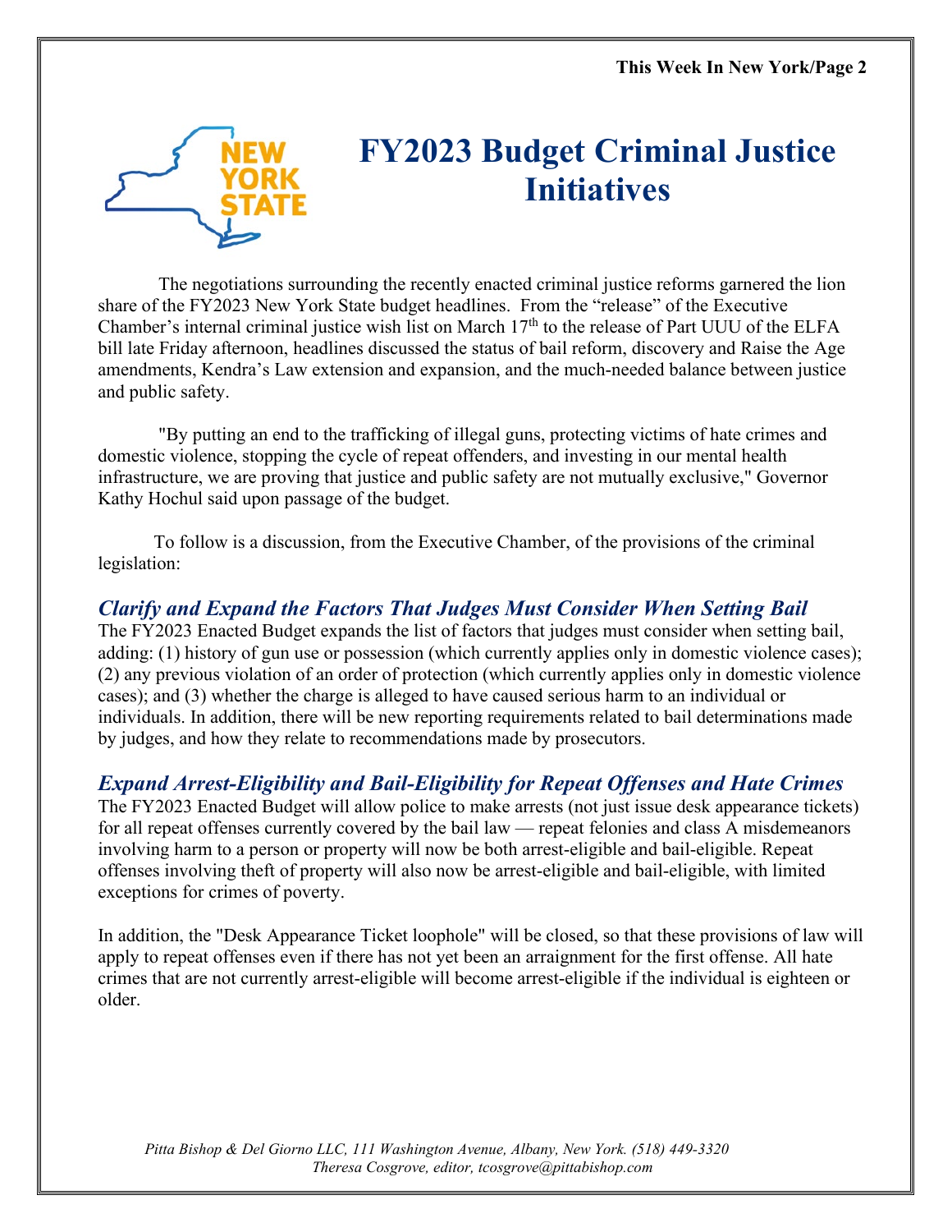

### **FY2023 Budget Criminal Justice Initiatives**

The negotiations surrounding the recently enacted criminal justice reforms garnered the lion share of the FY2023 New York State budget headlines. From the "release" of the Executive Chamber's internal criminal justice wish list on March  $17<sup>th</sup>$  to the release of Part UUU of the ELFA bill late Friday afternoon, headlines discussed the status of bail reform, discovery and Raise the Age amendments, Kendra's Law extension and expansion, and the much-needed balance between justice and public safety.

"By putting an end to the trafficking of illegal guns, protecting victims of hate crimes and domestic violence, stopping the cycle of repeat offenders, and investing in our mental health infrastructure, we are proving that justice and public safety are not mutually exclusive," Governor Kathy Hochul said upon passage of the budget.

To follow is a discussion, from the Executive Chamber, of the provisions of the criminal legislation:

### *Clarify and Expand the Factors That Judges Must Consider When Setting Bail*

The FY2023 Enacted Budget expands the list of factors that judges must consider when setting bail, adding: (1) history of gun use or possession (which currently applies only in domestic violence cases); (2) any previous violation of an order of protection (which currently applies only in domestic violence cases); and (3) whether the charge is alleged to have caused serious harm to an individual or individuals. In addition, there will be new reporting requirements related to bail determinations made by judges, and how they relate to recommendations made by prosecutors.

### *Expand Arrest-Eligibility and Bail-Eligibility for Repeat Offenses and Hate Crimes*

The FY2023 Enacted Budget will allow police to make arrests (not just issue desk appearance tickets) for all repeat offenses currently covered by the bail law — repeat felonies and class A misdemeanors involving harm to a person or property will now be both arrest-eligible and bail-eligible. Repeat offenses involving theft of property will also now be arrest-eligible and bail-eligible, with limited exceptions for crimes of poverty.

In addition, the "Desk Appearance Ticket loophole" will be closed, so that these provisions of law will apply to repeat offenses even if there has not yet been an arraignment for the first offense. All hate crimes that are not currently arrest-eligible will become arrest-eligible if the individual is eighteen or older.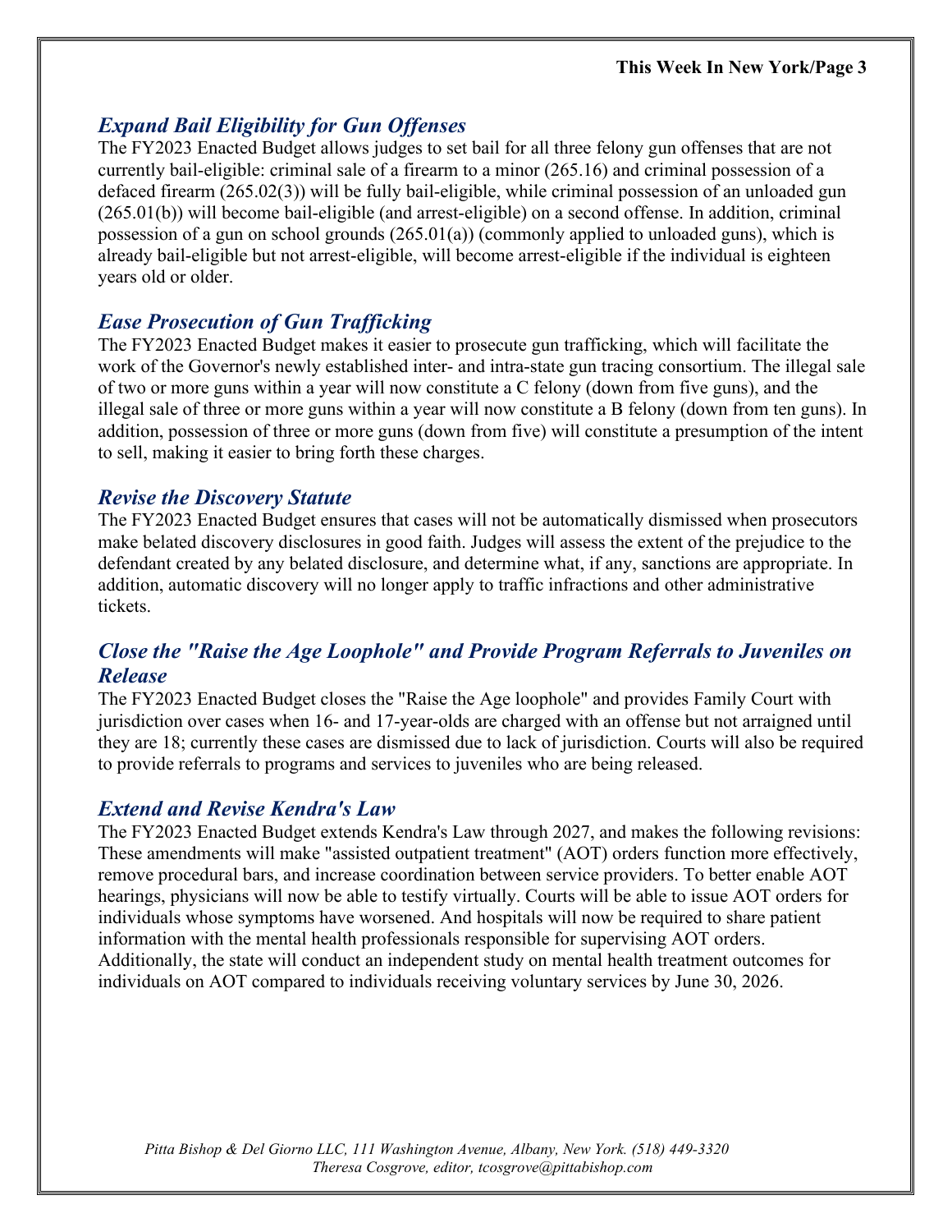### *Expand Bail Eligibility for Gun Offenses*

The FY2023 Enacted Budget allows judges to set bail for all three felony gun offenses that are not currently bail-eligible: criminal sale of a firearm to a minor (265.16) and criminal possession of a defaced firearm (265.02(3)) will be fully bail-eligible, while criminal possession of an unloaded gun (265.01(b)) will become bail-eligible (and arrest-eligible) on a second offense. In addition, criminal possession of a gun on school grounds (265.01(a)) (commonly applied to unloaded guns), which is already bail-eligible but not arrest-eligible, will become arrest-eligible if the individual is eighteen years old or older.

### *Ease Prosecution of Gun Trafficking*

The FY2023 Enacted Budget makes it easier to prosecute gun trafficking, which will facilitate the work of the Governor's newly established inter- and intra-state gun tracing consortium. The illegal sale of two or more guns within a year will now constitute a C felony (down from five guns), and the illegal sale of three or more guns within a year will now constitute a B felony (down from ten guns). In addition, possession of three or more guns (down from five) will constitute a presumption of the intent to sell, making it easier to bring forth these charges.

#### *Revise the Discovery Statute*

The FY2023 Enacted Budget ensures that cases will not be automatically dismissed when prosecutors make belated discovery disclosures in good faith. Judges will assess the extent of the prejudice to the defendant created by any belated disclosure, and determine what, if any, sanctions are appropriate. In addition, automatic discovery will no longer apply to traffic infractions and other administrative tickets.

### *Close the "Raise the Age Loophole" and Provide Program Referrals to Juveniles on Release*

The FY2023 Enacted Budget closes the "Raise the Age loophole" and provides Family Court with jurisdiction over cases when 16- and 17-year-olds are charged with an offense but not arraigned until they are 18; currently these cases are dismissed due to lack of jurisdiction. Courts will also be required to provide referrals to programs and services to juveniles who are being released.

#### *Extend and Revise Kendra's Law*

The FY2023 Enacted Budget extends Kendra's Law through 2027, and makes the following revisions: These amendments will make "assisted outpatient treatment" (AOT) orders function more effectively, remove procedural bars, and increase coordination between service providers. To better enable AOT hearings, physicians will now be able to testify virtually. Courts will be able to issue AOT orders for individuals whose symptoms have worsened. And hospitals will now be required to share patient information with the mental health professionals responsible for supervising AOT orders. Additionally, the state will conduct an independent study on mental health treatment outcomes for individuals on AOT compared to individuals receiving voluntary services by June 30, 2026.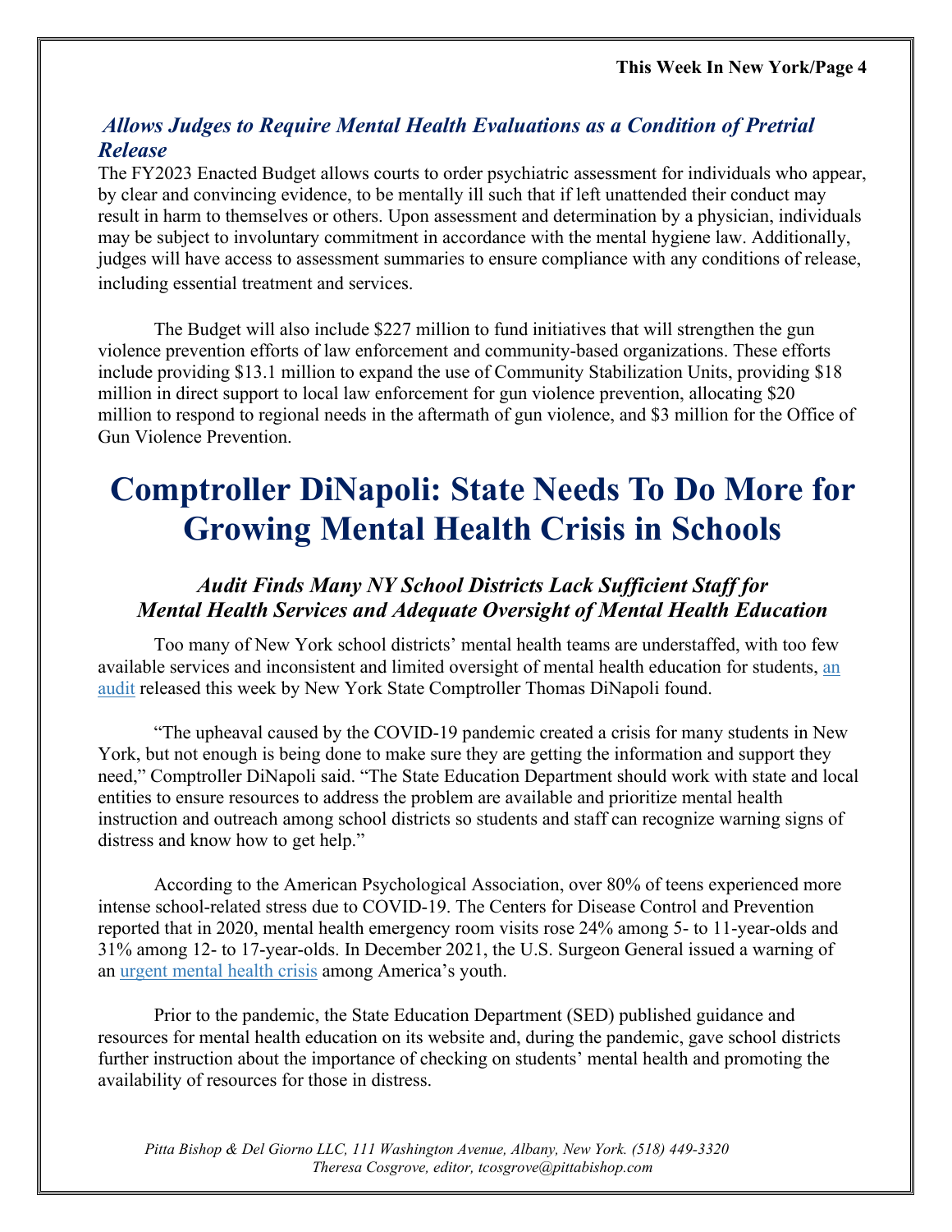### *Allows Judges to Require Mental Health Evaluations as a Condition of Pretrial Release*

The FY2023 Enacted Budget allows courts to order psychiatric assessment for individuals who appear, by clear and convincing evidence, to be mentally ill such that if left unattended their conduct may result in harm to themselves or others. Upon assessment and determination by a physician, individuals may be subject to involuntary commitment in accordance with the mental hygiene law. Additionally, judges will have access to assessment summaries to ensure compliance with any conditions of release, including essential treatment and services.

The Budget will also include \$227 million to fund initiatives that will strengthen the gun violence prevention efforts of law enforcement and community-based organizations. These efforts include providing \$13.1 million to expand the use of Community Stabilization Units, providing \$18 million in direct support to local law enforcement for gun violence prevention, allocating \$20 million to respond to regional needs in the aftermath of gun violence, and \$3 million for the Office of Gun Violence Prevention.

### **Comptroller DiNapoli: State Needs To Do More for Growing Mental Health Crisis in Schools**

### *Audit Finds Many NY School Districts Lack Sufficient Staff for Mental Health Services and Adequate Oversight of Mental Health Education*

Too many of New York school districts' mental health teams are understaffed, with too few available services and inconsistent and limited oversight of mental health education for students, an [audit](https://www.osc.state.ny.us/state-agencies/audits/2022/04/11/oversight-mental-health-education-schools) released this week by New York State Comptroller Thomas DiNapoli found.

"The upheaval caused by the COVID-19 pandemic created a crisis for many students in New York, but not enough is being done to make sure they are getting the information and support they need," Comptroller DiNapoli said. "The State Education Department should work with state and local entities to ensure resources to address the problem are available and prioritize mental health instruction and outreach among school districts so students and staff can recognize warning signs of distress and know how to get help."

According to the American Psychological Association, over 80% of teens experienced more intense school-related stress due to COVID-19. The Centers for Disease Control and Prevention reported that in 2020, mental health emergency room visits rose 24% among 5- to 11-year-olds and 31% among 12- to 17-year-olds. In December 2021, the U.S. Surgeon General issued a warning of an [urgent mental health crisis](https://www.hhs.gov/about/news/2021/12/07/us-surgeon-general-issues-advisory-on-youth-mental-health-crisis-further-exposed-by-covid-19-pandemic.html#:%7E:text=Suicidal%20behaviors%20among%20high%20school,increase%20from%202009%20to%202019.) among America's youth.

Prior to the pandemic, the State Education Department (SED) published guidance and resources for mental health education on its website and, during the pandemic, gave school districts further instruction about the importance of checking on students' mental health and promoting the availability of resources for those in distress.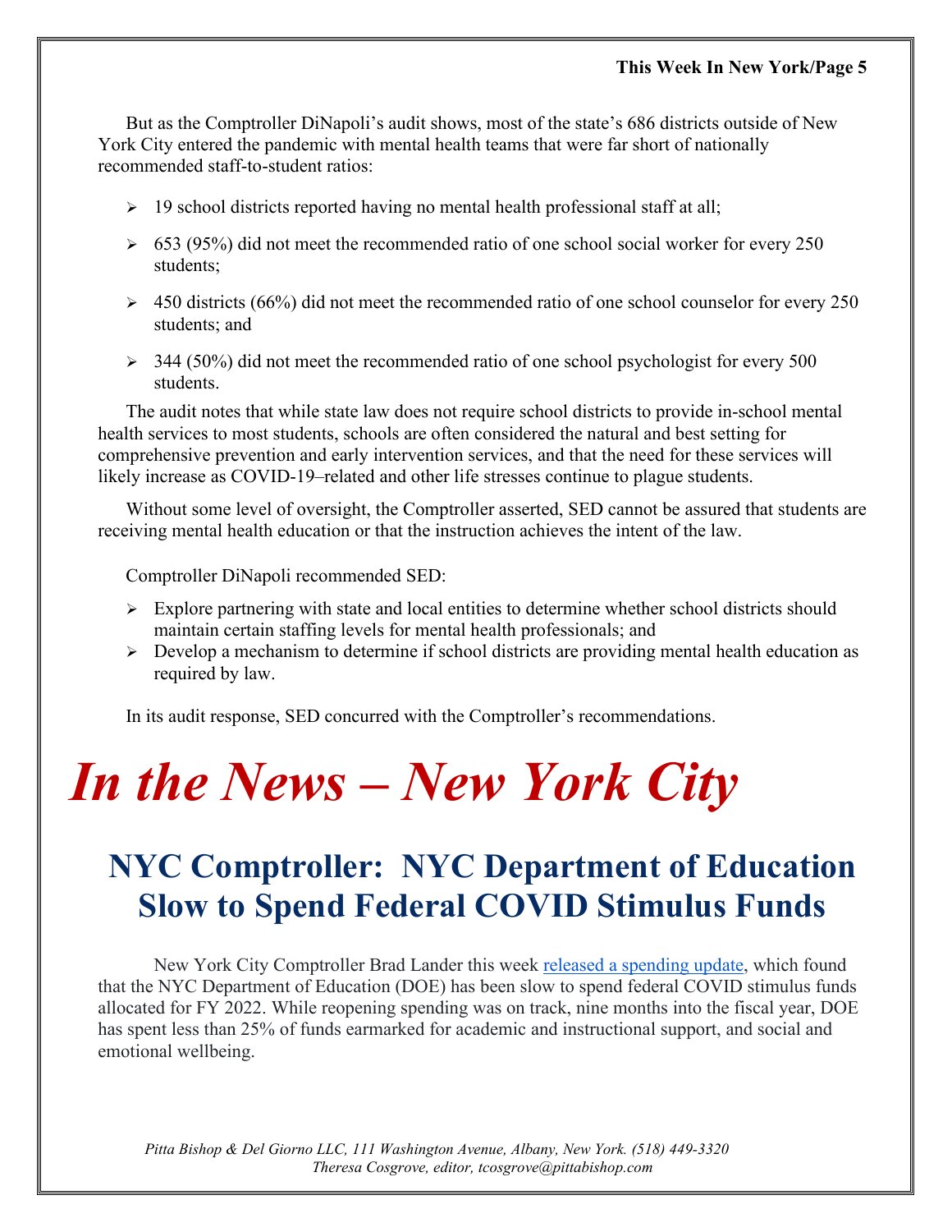But as the Comptroller DiNapoli's audit shows, most of the state's 686 districts outside of New York City entered the pandemic with mental health teams that were far short of nationally recommended staff-to-student ratios:

- $\geq$  19 school districts reported having no mental health professional staff at all;
- $\geq 653$  (95%) did not meet the recommended ratio of one school social worker for every 250 students;
- $\geq 450$  districts (66%) did not meet the recommended ratio of one school counselor for every 250 students; and
- $\geq$  344 (50%) did not meet the recommended ratio of one school psychologist for every 500 students.

The audit notes that while state law does not require school districts to provide in-school mental health services to most students, schools are often considered the natural and best setting for comprehensive prevention and early intervention services, and that the need for these services will likely increase as COVID-19–related and other life stresses continue to plague students.

Without some level of oversight, the Comptroller asserted, SED cannot be assured that students are receiving mental health education or that the instruction achieves the intent of the law.

Comptroller DiNapoli recommended SED:

- $\triangleright$  Explore partnering with state and local entities to determine whether school districts should maintain certain staffing levels for mental health professionals; and
- $\triangleright$  Develop a mechanism to determine if school districts are providing mental health education as required by law.

In its audit response, SED concurred with the Comptroller's recommendations.

## *In the News – New York City*

### **NYC Comptroller: NYC Department of Education Slow to Spend Federal COVID Stimulus Funds**

New York City Comptroller Brad Lander this week [released a spending update,](https://comptroller.nyc.gov/reports/doe-federal-covid-stimulus-funds) which found that the NYC Department of Education (DOE) has been slow to spend federal COVID stimulus funds allocated for FY 2022. While reopening spending was on track, nine months into the fiscal year, DOE has spent less than 25% of funds earmarked for academic and instructional support, and social and emotional wellbeing.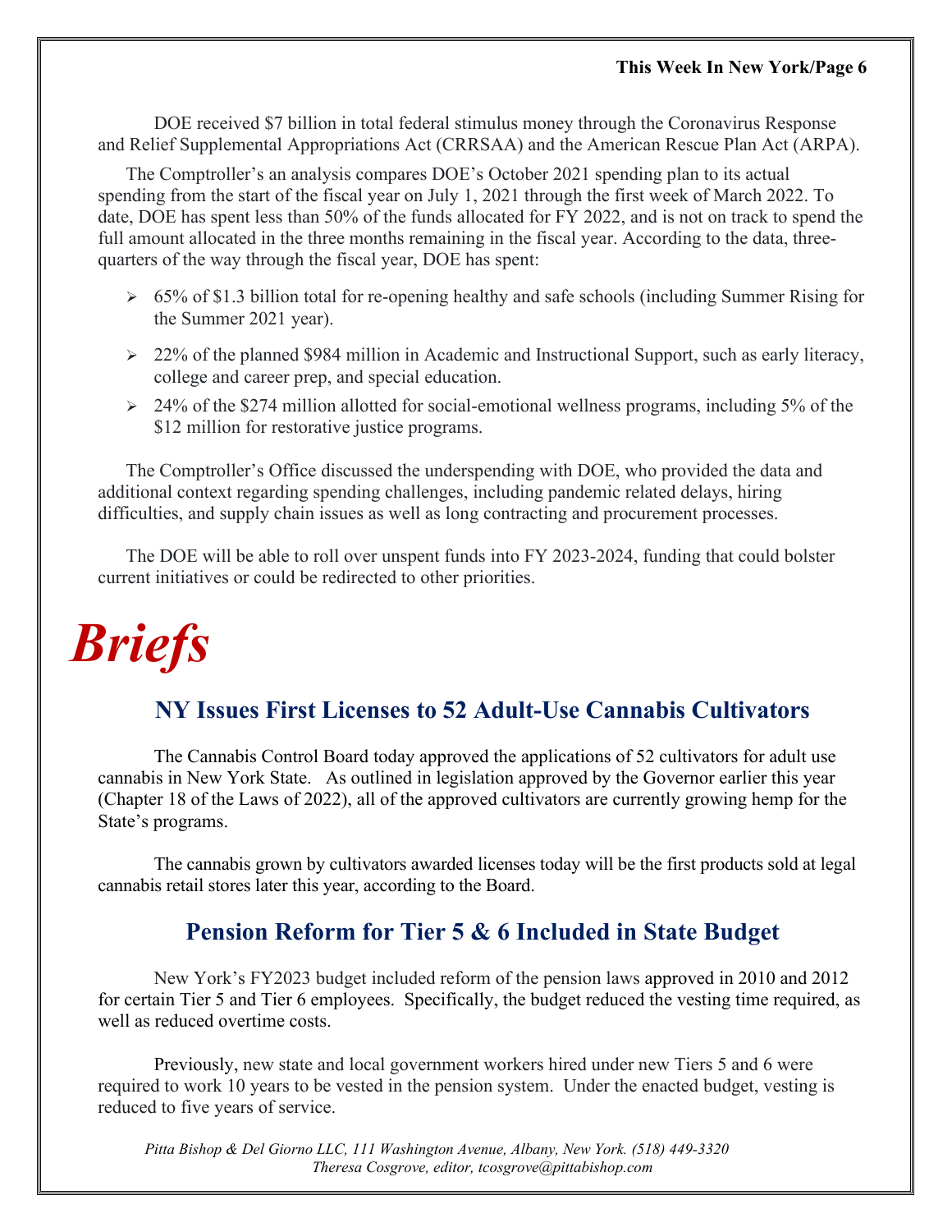#### **This Week In New York/Page 6**

DOE received \$7 billion in total federal stimulus money through the Coronavirus Response and Relief Supplemental Appropriations Act (CRRSAA) and the American Rescue Plan Act (ARPA).

The Comptroller's an analysis compares DOE's October 2021 spending plan to its actual spending from the start of the fiscal year on July 1, 2021 through the first week of March 2022. To date, DOE has spent less than 50% of the funds allocated for FY 2022, and is not on track to spend the full amount allocated in the three months remaining in the fiscal year. According to the data, threequarters of the way through the fiscal year, DOE has spent:

- $\geq 65\%$  of \$1.3 billion total for re-opening healthy and safe schools (including Summer Rising for the Summer 2021 year).
- $\geq$  22% of the planned \$984 million in Academic and Instructional Support, such as early literacy, college and career prep, and special education.
- $\geq$  24% of the \$274 million allotted for social-emotional wellness programs, including 5% of the \$12 million for restorative justice programs.

The Comptroller's Office discussed the underspending with DOE, who provided the data and additional context regarding spending challenges, including pandemic related delays, hiring difficulties, and supply chain issues as well as long contracting and procurement processes.

The DOE will be able to roll over unspent funds into FY 2023-2024, funding that could bolster current initiatives or could be redirected to other priorities.

## *Briefs*

### **NY Issues First Licenses to 52 Adult-Use Cannabis Cultivators**

The Cannabis Control Board today approved the applications of 52 cultivators for adult use cannabis in New York State. As outlined in legislation approved by the Governor earlier this year (Chapter 18 of the Laws of 2022), all of the approved cultivators are currently growing hemp for the State's programs.

The cannabis grown by cultivators awarded licenses today will be the first products sold at legal cannabis retail stores later this year, according to the Board.

### **Pension Reform for Tier 5 & 6 Included in State Budget**

New York's FY2023 budget included reform of the pension laws approved in 2010 and 2012 for certain Tier 5 and Tier 6 employees. Specifically, the budget reduced the vesting time required, as well as reduced overtime costs.

Previously, new state and local government workers hired under new Tiers 5 and 6 were required to work 10 years to be vested in the pension system. Under the enacted budget, vesting is reduced to five years of service.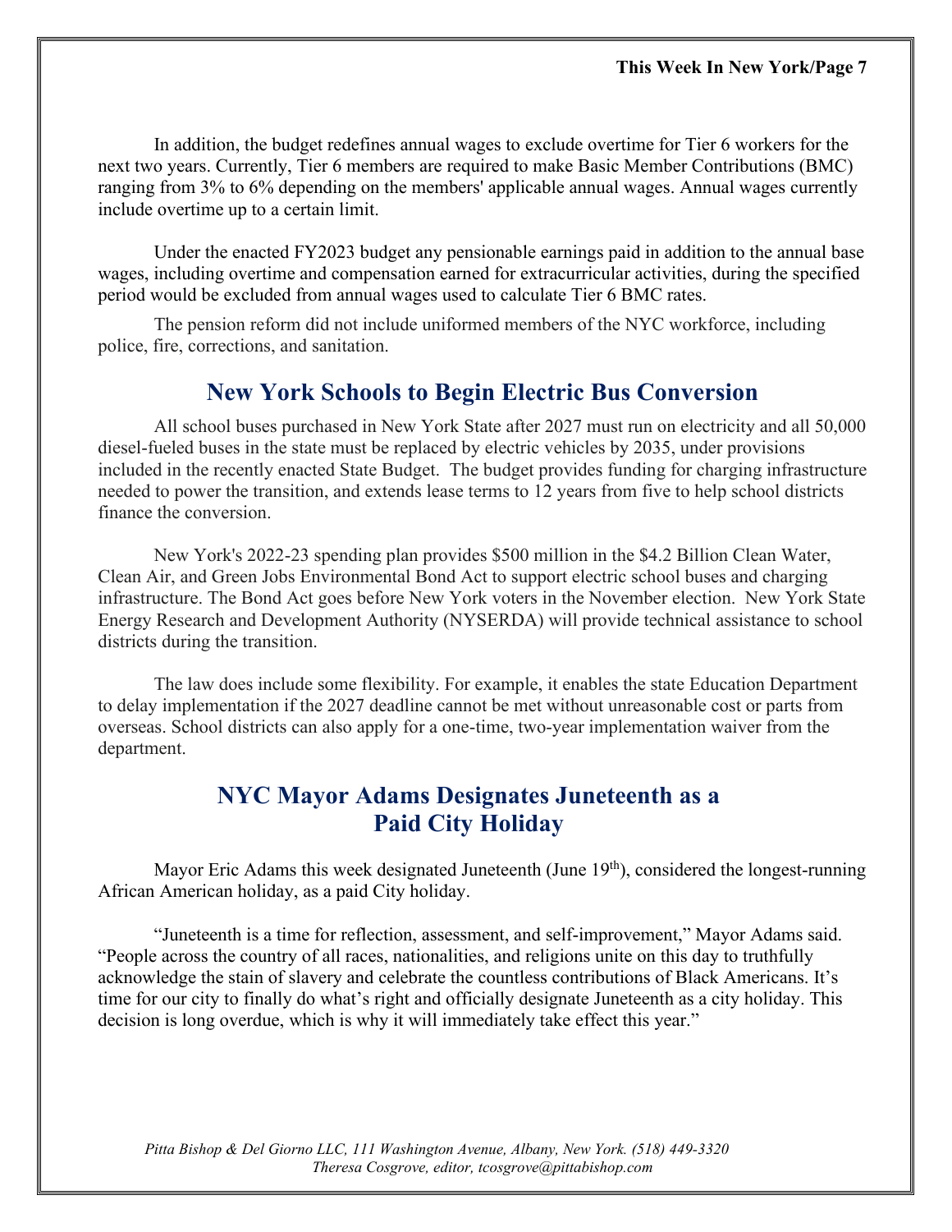In addition, the budget redefines annual wages to exclude overtime for Tier 6 workers for the next two years. Currently, Tier 6 members are required to make Basic Member Contributions (BMC) ranging from 3% to 6% depending on the members' applicable annual wages. Annual wages currently include overtime up to a certain limit.

Under the enacted FY2023 budget any pensionable earnings paid in addition to the annual base wages, including overtime and compensation earned for extracurricular activities, during the specified period would be excluded from annual wages used to calculate Tier 6 BMC rates.

The pension reform did not include uniformed members of the NYC workforce, including police, fire, corrections, and sanitation.

### **New York Schools to Begin Electric Bus Conversion**

All school buses purchased in New York State after 2027 must run on electricity and all 50,000 diesel-fueled buses in the state must be replaced by electric vehicles by 2035, under provisions included in the recently enacted State Budget. The budget provides funding for charging infrastructure needed to power the transition, and extends lease terms to 12 years from five to help school districts finance the conversion.

New York's 2022-23 spending plan provides \$500 million in the \$4.2 Billion Clean Water, Clean Air, and Green Jobs Environmental Bond Act to support electric school buses and charging infrastructure. The Bond Act goes before New York voters in the November election. New York State Energy Research and Development Authority (NYSERDA) will provide technical assistance to school districts during the transition.

The law does include some flexibility. For example, it enables the state Education Department to delay implementation if the 2027 deadline cannot be met without unreasonable cost or parts from overseas. School districts can also apply for a one-time, two-year implementation waiver from the department.

### **NYC Mayor Adams Designates Juneteenth as a Paid City Holiday**

Mayor Eric Adams this week designated Juneteenth (June  $19<sup>th</sup>$ ), considered the longest-running African American holiday, as a paid City holiday.

"Juneteenth is a time for reflection, assessment, and self-improvement," Mayor Adams said. "People across the country of all races, nationalities, and religions unite on this day to truthfully acknowledge the stain of slavery and celebrate the countless contributions of Black Americans. It's time for our city to finally do what's right and officially designate Juneteenth as a city holiday. This decision is long overdue, which is why it will immediately take effect this year."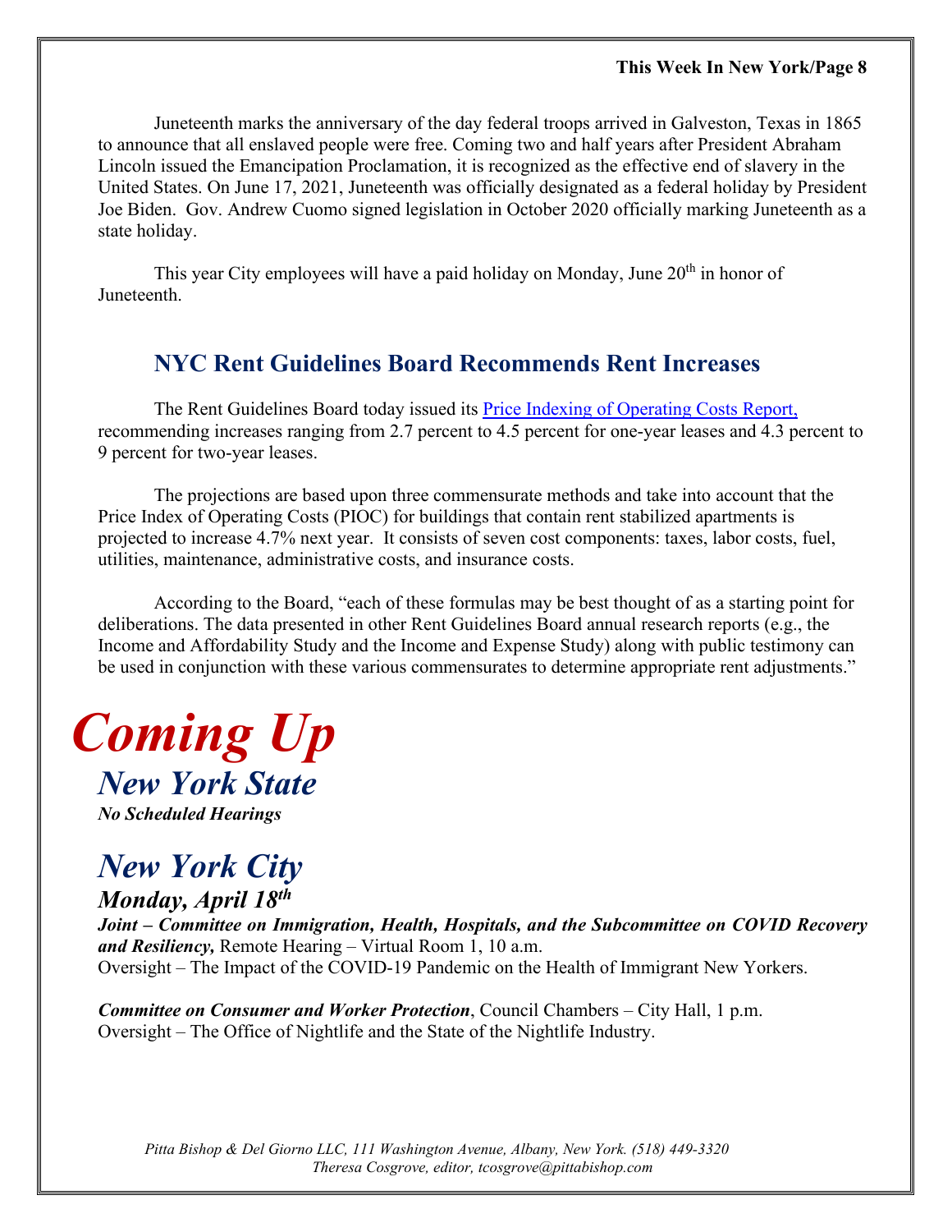Juneteenth marks the anniversary of the day federal troops arrived in Galveston, Texas in 1865 to announce that all enslaved people were free. Coming two and half years after President Abraham Lincoln issued the Emancipation Proclamation, it is recognized as the effective end of slavery in the United States. On June 17, 2021, Juneteenth was officially designated as a federal holiday by President Joe Biden. Gov. Andrew Cuomo signed legislation in October 2020 officially marking Juneteenth as a state holiday.

This year City employees will have a paid holiday on Monday, June  $20<sup>th</sup>$  in honor of Juneteenth.

### **NYC Rent Guidelines Board Recommends Rent Increases**

The Rent Guidelines Board today issued its [Price Indexing of Operating Costs Report,](https://rentguidelinesboard.cityofnewyork.us/wp-content/uploads/2022/04/2022-PIOC.pdf) recommending increases ranging from 2.7 percent to 4.5 percent for one-year leases and 4.3 percent to 9 percent for two-year leases.

The projections are based upon three commensurate methods and take into account that the Price Index of Operating Costs (PIOC) for buildings that contain rent stabilized apartments is projected to increase 4.7% next year. It consists of seven cost components: taxes, labor costs, fuel, utilities, maintenance, administrative costs, and insurance costs.

According to the Board, "each of these formulas may be best thought of as a starting point for deliberations. The data presented in other Rent Guidelines Board annual research reports (e.g., the Income and Affordability Study and the Income and Expense Study) along with public testimony can be used in conjunction with these various commensurates to determine appropriate rent adjustments."



*No Scheduled Hearings*

### *New York City*

*Monday, April 18th*

*Joint – Committee on Immigration, Health, Hospitals, and the Subcommittee on COVID Recovery and Resiliency,* Remote Hearing – Virtual Room 1, 10 a.m. Oversight – The Impact of the COVID-19 Pandemic on the Health of Immigrant New Yorkers.

*Committee on Consumer and Worker Protection*, Council Chambers – City Hall, 1 p.m. Oversight – The Office of Nightlife and the State of the Nightlife Industry.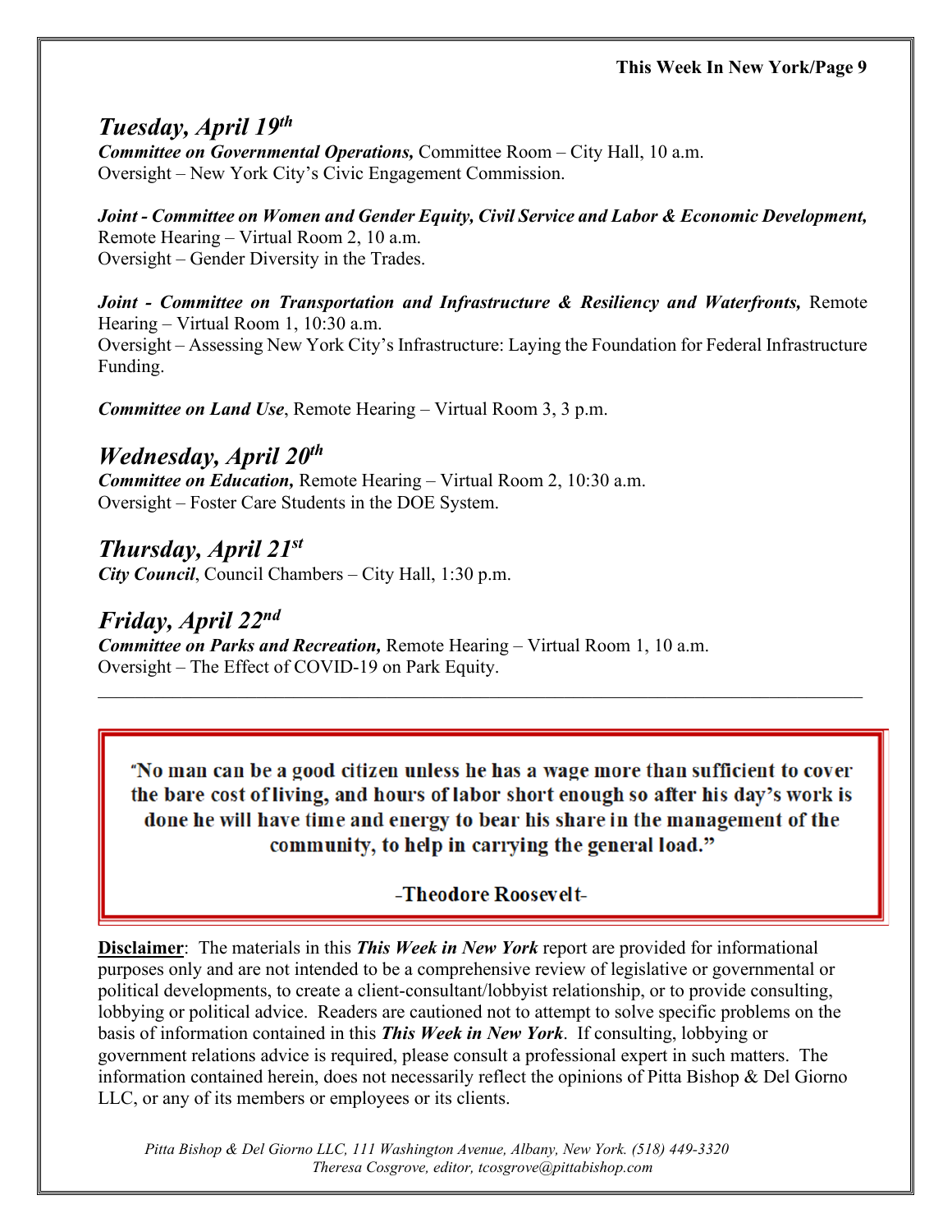#### *Tuesday, April 19th Committee on Governmental Operations,* Committee Room – City Hall, 10 a.m.

Oversight – New York City's Civic Engagement Commission.

*Joint - Committee on Women and Gender Equity, Civil Service and Labor & Economic Development,* Remote Hearing – Virtual Room 2, 10 a.m. Oversight – Gender Diversity in the Trades.

*Joint - Committee on Transportation and Infrastructure & Resiliency and Waterfronts,* Remote Hearing – Virtual Room 1, 10:30 a.m. Oversight – Assessing New York City's Infrastructure: Laying the Foundation for Federal Infrastructure Funding.

*Committee on Land Use*, Remote Hearing – Virtual Room 3, 3 p.m.

### *Wednesday, April 20th*

*Committee on Education,* Remote Hearing – Virtual Room 2, 10:30 a.m. Oversight – Foster Care Students in the DOE System.

### *Thursday, April 21st*

*City Council*, Council Chambers – City Hall, 1:30 p.m.

### *Friday, April 22nd*

*Committee on Parks and Recreation,* Remote Hearing – Virtual Room 1, 10 a.m. Oversight – The Effect of COVID-19 on Park Equity.

"No man can be a good citizen unless he has a wage more than sufficient to cover the bare cost of living, and hours of labor short enough so after his day's work is done he will have time and energy to bear his share in the management of the community, to help in carrying the general load."

\_\_\_\_\_\_\_\_\_\_\_\_\_\_\_\_\_\_\_\_\_\_\_\_\_\_\_\_\_\_\_\_\_\_\_\_\_\_\_\_\_\_\_\_\_\_\_\_\_\_\_\_\_\_\_\_\_\_\_\_\_\_\_\_\_\_\_\_\_\_\_\_\_\_\_\_\_\_\_\_\_\_

### -Theodore Roosevelt-

**Disclaimer**: The materials in this *This Week in New York* report are provided for informational purposes only and are not intended to be a comprehensive review of legislative or governmental or political developments, to create a client-consultant/lobbyist relationship, or to provide consulting, lobbying or political advice. Readers are cautioned not to attempt to solve specific problems on the basis of information contained in this *This Week in New York*. If consulting, lobbying or government relations advice is required, please consult a professional expert in such matters. The information contained herein, does not necessarily reflect the opinions of Pitta Bishop & Del Giorno LLC, or any of its members or employees or its clients.